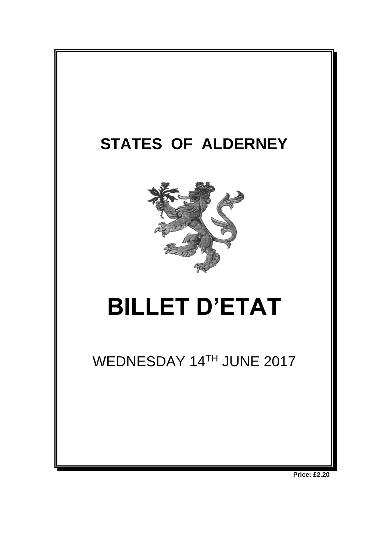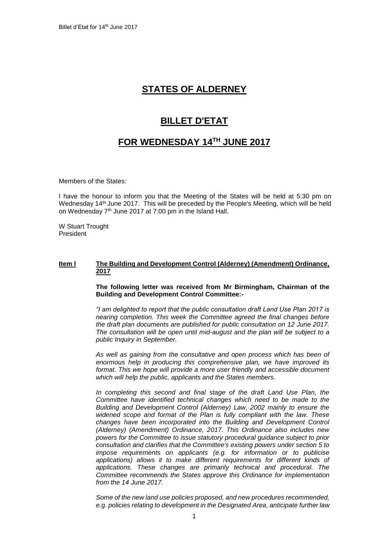# **STATES OF ALDERNEY**

## **BILLET D'ETAT**

# **FOR WEDNESDAY 14 TH JUNE 2017**

Members of the States:

I have the honour to inform you that the Meeting of the States will be held at 5:30 pm on Wednesday 14<sup>th</sup> June 2017. This will be preceded by the People's Meeting, which will be held on Wednesday 7<sup>th</sup> June 2017 at 7:00 pm in the Island Hall.

W Stuart Trought President

## **Item l The Building and Development Control (Alderney) (Amendment) Ordinance, 2017**

## **The following letter was received from Mr Birmingham, Chairman of the Building and Development Control Committee:-**

*"I am delighted to report that the public consultation draft Land Use Plan 2017 is nearing completion. This week the Committee agreed the final changes before the draft plan documents are published for public consultation on 12 June 2017. The consultation will be open until mid-august and the plan will be subject to a public Inquiry in September.* 

As well as gaining from the consultative and open process which has been of *enormous help in producing this comprehensive plan, we have improved its format. This we hope will provide a more user friendly and accessible document which will help the public, applicants and the States members.* 

In completing this second and final stage of the draft Land Use Plan, the *Committee have identified technical changes which need to be made to the Building and Development Control (Alderney) Law, 2002 mainly to ensure the widened scope and format of the Plan is fully compliant with the law. These changes have been incorporated into the Building and Development Control (Alderney) (Amendment) Ordinance, 2017. This Ordinance also includes new powers for the Committee to issue statutory procedural guidance subject to prior consultation and clarifies that the Committee's existing powers under section 5 to impose requirements on applicants (e.g. for information or to publicise*  applications) allows it to make different requirements for different kinds of *applications. These changes are primarily technical and procedural. The Committee recommends the States approve this Ordinance for implementation from the 14 June 2017.* 

*Some of the new land use policies proposed, and new procedures recommended, e.g. policies relating to development in the Designated Area, anticipate further law*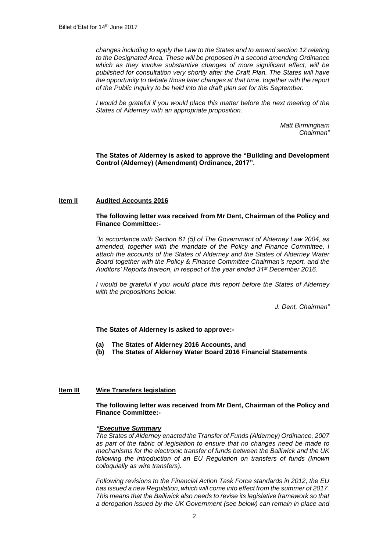*changes including to apply the Law to the States and to amend section 12 relating to the Designated Area. These will be proposed in a second amending Ordinance which as they involve substantive changes of more significant effect, will be published for consultation very shortly after the Draft Plan. The States will have the opportunity to debate those later changes at that time, together with the report of the Public Inquiry to be held into the draft plan set for this September.* 

*I* would be grateful if you would place this matter before the next meeting of the *States of Alderney with an appropriate proposition.*

> *Matt Birmingham Chairman"*

**The States of Alderney is asked to approve the "Building and Development Control (Alderney) (Amendment) Ordinance, 2017".**

### **Item II Audited Accounts 2016**

### **The following letter was received from Mr Dent, Chairman of the Policy and Finance Committee:-**

*"In accordance with Section 61 (5) of The Government of Alderney Law 2004, as amended, together with the mandate of the Policy and Finance Committee, I attach the accounts of the States of Alderney and the States of Alderney Water Board together with the Policy & Finance Committee Chairman's report, and the Auditors' Reports thereon, in respect of the year ended 31st December 2016.*

*I would be grateful if you would place this report before the States of Alderney with the propositions below.*

*J. Dent, Chairman"*

**The States of Alderney is asked to approve:-**

- **(a) The States of Alderney 2016 Accounts, and**
- **(b) The States of Alderney Water Board 2016 Financial Statements**

## **Item III Wire Transfers legislation**

**The following letter was received from Mr Dent, Chairman of the Policy and Finance Committee:-**

#### *"Executive Summary*

*The States of Alderney enacted the Transfer of Funds (Alderney) Ordinance, 2007 as part of the fabric of legislation to ensure that no changes need be made to mechanisms for the electronic transfer of funds between the Bailiwick and the UK following the introduction of an EU Regulation on transfers of funds (known colloquially as wire transfers).*

*Following revisions to the Financial Action Task Force standards in 2012, the EU has issued a new Regulation, which will come into effect from the summer of 2017. This means that the Bailiwick also needs to revise its legislative framework so that a derogation issued by the UK Government (see below) can remain in place and*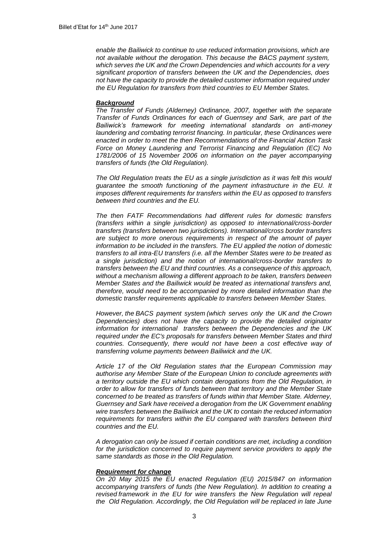*enable the Bailiwick to continue to use reduced information provisions, which are not available without the derogation. This because the BACS payment system, which serves the UK and the Crown Dependencies and which accounts for a very significant proportion of transfers between the UK and the Dependencies, does not have the capacity to provide the detailed customer information required under the EU Regulation for transfers from third countries to EU Member States.*

#### *Background*

*The Transfer of Funds (Alderney) Ordinance, 2007, together with the separate Transfer of Funds Ordinances for each of Guernsey and Sark, are part of the Bailiwick's framework for meeting international standards on anti-money laundering and combating terrorist financing. In particular, these Ordinances were enacted in order to meet the then Recommendations of the Financial Action Task Force on Money Laundering and Terrorist Financing and Regulation (EC) No 1781/2006 of 15 November 2006 on information on the payer accompanying transfers of funds (the Old Regulation).*

*The Old Regulation treats the EU as a single jurisdiction as it was felt this would guarantee the smooth functioning of the payment infrastructure in the EU. It imposes different requirements for transfers within the EU as opposed to transfers between third countries and the EU.*

*The then FATF Recommendations had different rules for domestic transfers (transfers within a single jurisdiction) as opposed to international/cross-border transfers (transfers between two jurisdictions). International/cross border transfers are subject to more onerous requirements in respect of the amount of payer information to be included in the transfers. The EU applied the notion of domestic transfers to all intra-EU transfers (i.e. all the Member States were to be treated as a single jurisdiction) and the notion of international/cross-border transfers to transfers between the EU and third countries. As a consequence of this approach, without a mechanism allowing a different approach to be taken, transfers between Member States and the Bailiwick would be treated as international transfers and, therefore, would need to be accompanied by more detailed information than the domestic transfer requirements applicable to transfers between Member States.* 

*However, the BACS payment system (which serves only the UK and the Crown Dependencies) does not have the capacity to provide the detailed originator information for international transfers between the Dependencies and the UK required under the EC's proposals for transfers between Member States and third countries. Consequently, there would not have been a cost effective way of transferring volume payments between Bailiwick and the UK.* 

*Article 17 of the Old Regulation states that the European Commission may authorise any Member State of the European Union to conclude agreements with a territory outside the EU which contain derogations from the Old Regulation, in order to allow for transfers of funds between that territory and the Member State concerned to be treated as transfers of funds within that Member State. Alderney, Guernsey and Sark have received a derogation from the UK Government enabling wire transfers between the Bailiwick and the UK to contain the reduced information requirements for transfers within the EU compared with transfers between third countries and the EU.* 

*A derogation can only be issued if certain conditions are met, including a condition for the jurisdiction concerned to require payment service providers to apply the same standards as those in the Old Regulation.* 

#### *Requirement for change*

*On 20 May 2015 the EU enacted Regulation (EU) 2015/847 on information accompanying transfers of funds (the New Regulation). In addition to creating a revised framework in the EU for wire transfers the New Requlation will repeal the Old Regulation. Accordingly, the Old Regulation will be replaced in late June*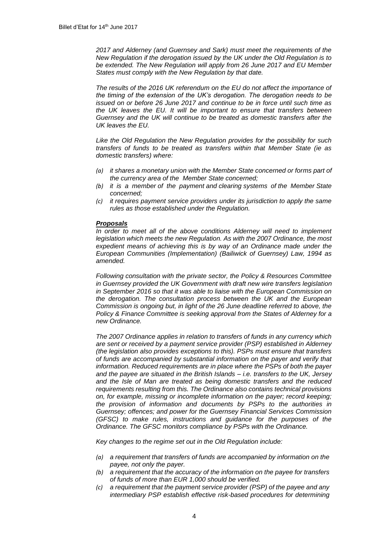*2017 and Alderney (and Guernsey and Sark) must meet the requirements of the New Regulation if the derogation issued by the UK under the Old Regulation is to be extended. The New Regulation will apply from 26 June 2017 and EU Member States must comply with the New Regulation by that date.*

*The results of the 2016 UK referendum on the EU do not affect the importance of the timing of the extension of the UK's derogation. The derogation needs to be issued on or before 26 June 2017 and continue to be in force until such time as the UK leaves the EU. It will be important to ensure that transfers between Guernsey and the UK will continue to be treated as domestic transfers after the UK leaves the EU.* 

*Like the Old Regulation the New Regulation provides for the possibility for such transfers of funds to be treated as transfers within that Member State (ie as domestic transfers) where:*

- *(a) it shares a monetary union with the Member State concerned or forms part of the currency area of the Member State concerned;*
- *(b) it is a member of the payment and clearing systems of the Member State concerned;*
- *(c) it requires payment service providers under its jurisdiction to apply the same rules as those established under the Regulation.*

#### *Proposals*

In order to meet all of the above conditions Alderney will need to implement *legislation which meets the new Regulation. As with the 2007 Ordinance, the most expedient means of achieving this is by way of an Ordinance made under the European Communities (Implementation) (Bailiwick of Guernsey) Law, 1994 as amended.* 

*Following consultation with the private sector, the Policy & Resources Committee in Guernsey provided the UK Government with draft new wire transfers legislation in September 2016 so that it was able to liaise with the European Commission on the derogation. The consultation process between the UK and the European Commission is ongoing but, in light of the 26 June deadline referred to above, the Policy & Finance Committee is seeking approval from the States of Alderney for a new Ordinance.* 

*The 2007 Ordinance applies in relation to transfers of funds in any currency which are sent or received by a payment service provider (PSP) established in Alderney (the legislation also provides exceptions to this). PSPs must ensure that transfers of funds are accompanied by substantial information on the payer and verify that information. Reduced requirements are in place where the PSPs of both the payer and the payee are situated in the British Islands – i.e. transfers to the UK, Jersey and the Isle of Man are treated as being domestic transfers and the reduced requirements resulting from this. The Ordinance also contains technical provisions on, for example, missing or incomplete information on the payer; record keeping; the provision of information and documents by PSPs to the authorities in Guernsey; offences; and power for the Guernsey Financial Services Commission (GFSC) to make rules, instructions and guidance for the purposes of the Ordinance. The GFSC monitors compliance by PSPs with the Ordinance.* 

*Key changes to the regime set out in the Old Regulation include:*

- *(a) a requirement that transfers of funds are accompanied by information on the payee, not only the payer.*
- *(b) a requirement that the accuracy of the information on the payee for transfers of funds of more than EUR 1,000 should be verified.*
- *(c) a requirement that the payment service provider (PSP) of the payee and any intermediary PSP establish effective risk-based procedures for determining*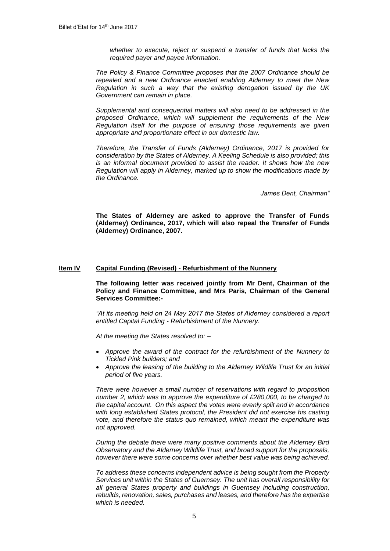*whether to execute, reject or suspend a transfer of funds that lacks the required payer and payee information.*

*The Policy & Finance Committee proposes that the 2007 Ordinance should be repealed and a new Ordinance enacted enabling Alderney to meet the New Regulation in such a way that the existing derogation issued by the UK Government can remain in place.* 

*Supplemental and consequential matters will also need to be addressed in the proposed Ordinance, which will supplement the requirements of the New Regulation itself for the purpose of ensuring those requirements are given appropriate and proportionate effect in our domestic law.* 

*Therefore, the Transfer of Funds (Alderney) Ordinance, 2017 is provided for consideration by the States of Alderney. A Keeling Schedule is also provided; this is an informal document provided to assist the reader. It shows how the new Regulation will apply in Alderney, marked up to show the modifications made by the Ordinance.*

*James Dent, Chairman"*

**The States of Alderney are asked to approve the Transfer of Funds (Alderney) Ordinance, 2017, which will also repeal the Transfer of Funds (Alderney) Ordinance, 2007.**

## **Item IV Capital Funding (Revised) - Refurbishment of the Nunnery**

**The following letter was received jointly from Mr Dent, Chairman of the Policy and Finance Committee, and Mrs Paris, Chairman of the General Services Committee:-**

*"At its meeting held on 24 May 2017 the States of Alderney considered a report entitled Capital Funding - Refurbishment of the Nunnery.*

*At the meeting the States resolved to: –*

- *Approve the award of the contract for the refurbishment of the Nunnery to Tickled Pink builders; and*
- *Approve the leasing of the building to the Alderney Wildlife Trust for an initial period of five years.*

*There were however a small number of reservations with regard to proposition number 2, which was to approve the expenditure of £280,000, to be charged to the capital account. On this aspect the votes were evenly split and in accordance with long established States protocol, the President did not exercise his casting vote, and therefore the status quo remained, which meant the expenditure was not approved.*

*During the debate there were many positive comments about the Alderney Bird Observatory and the Alderney Wildlife Trust, and broad support for the proposals, however there were some concerns over whether best value was being achieved.*

*To address these concerns independent advice is being sought from the Property Services unit within the States of Guernsey. The unit has overall responsibility for all general States property and buildings in Guernsey including construction, rebuilds, renovation, sales, purchases and leases, and therefore has the expertise which is needed.*